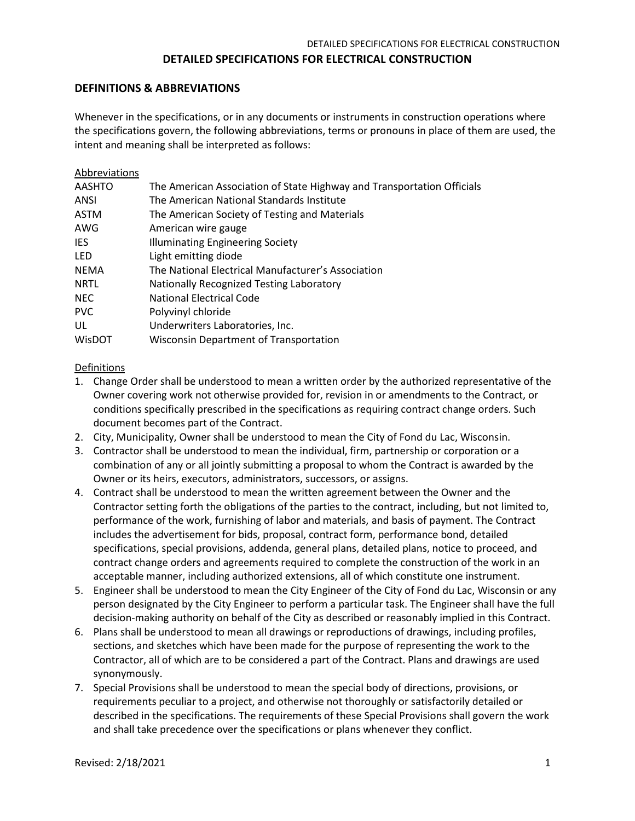#### **DEFINITIONS & ABBREVIATIONS**

Whenever in the specifications, or in any documents or instruments in construction operations where the specifications govern, the following abbreviations, terms or pronouns in place of them are used, the intent and meaning shall be interpreted as follows:

| Abbreviations |                                                                        |
|---------------|------------------------------------------------------------------------|
| <b>AASHTO</b> | The American Association of State Highway and Transportation Officials |
| ANSI          | The American National Standards Institute                              |
| <b>ASTM</b>   | The American Society of Testing and Materials                          |
| AWG           | American wire gauge                                                    |
| <b>IES</b>    | <b>Illuminating Engineering Society</b>                                |
| <b>LED</b>    | Light emitting diode                                                   |
| <b>NEMA</b>   | The National Electrical Manufacturer's Association                     |
| <b>NRTL</b>   | Nationally Recognized Testing Laboratory                               |
| <b>NEC</b>    | <b>National Electrical Code</b>                                        |
| <b>PVC</b>    | Polyvinyl chloride                                                     |
| UL            | Underwriters Laboratories, Inc.                                        |
| WisDOT        | <b>Wisconsin Department of Transportation</b>                          |
|               |                                                                        |

#### Definitions

- 1. Change Order shall be understood to mean a written order by the authorized representative of the Owner covering work not otherwise provided for, revision in or amendments to the Contract, or conditions specifically prescribed in the specifications as requiring contract change orders. Such document becomes part of the Contract.
- 2. City, Municipality, Owner shall be understood to mean the City of Fond du Lac, Wisconsin.
- 3. Contractor shall be understood to mean the individual, firm, partnership or corporation or a combination of any or all jointly submitting a proposal to whom the Contract is awarded by the Owner or its heirs, executors, administrators, successors, or assigns.
- 4. Contract shall be understood to mean the written agreement between the Owner and the Contractor setting forth the obligations of the parties to the contract, including, but not limited to, performance of the work, furnishing of labor and materials, and basis of payment. The Contract includes the advertisement for bids, proposal, contract form, performance bond, detailed specifications, special provisions, addenda, general plans, detailed plans, notice to proceed, and contract change orders and agreements required to complete the construction of the work in an acceptable manner, including authorized extensions, all of which constitute one instrument.
- 5. Engineer shall be understood to mean the City Engineer of the City of Fond du Lac, Wisconsin or any person designated by the City Engineer to perform a particular task. The Engineer shall have the full decision-making authority on behalf of the City as described or reasonably implied in this Contract.
- 6. Plans shall be understood to mean all drawings or reproductions of drawings, including profiles, sections, and sketches which have been made for the purpose of representing the work to the Contractor, all of which are to be considered a part of the Contract. Plans and drawings are used synonymously.
- 7. Special Provisions shall be understood to mean the special body of directions, provisions, or requirements peculiar to a project, and otherwise not thoroughly or satisfactorily detailed or described in the specifications. The requirements of these Special Provisions shall govern the work and shall take precedence over the specifications or plans whenever they conflict.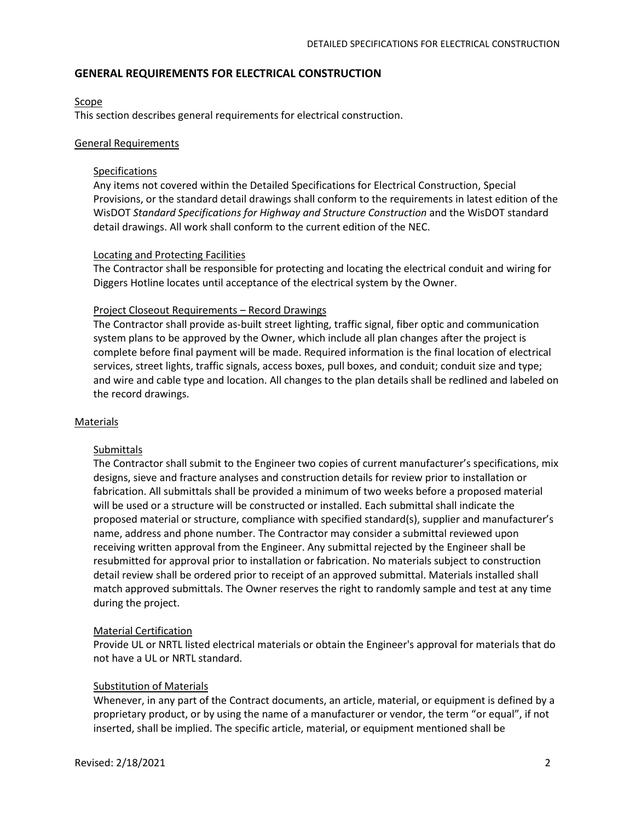### **GENERAL REQUIREMENTS FOR ELECTRICAL CONSTRUCTION**

#### **Scope**

This section describes general requirements for electrical construction.

#### General Requirements

#### **Specifications**

Any items not covered within the Detailed Specifications for Electrical Construction, Special Provisions, or the standard detail drawings shall conform to the requirements in latest edition of the WisDOT *Standard Specifications for Highway and Structure Construction* and the WisDOT standard detail drawings. All work shall conform to the current edition of the NEC.

#### Locating and Protecting Facilities

The Contractor shall be responsible for protecting and locating the electrical conduit and wiring for Diggers Hotline locates until acceptance of the electrical system by the Owner.

#### Project Closeout Requirements – Record Drawings

The Contractor shall provide as-built street lighting, traffic signal, fiber optic and communication system plans to be approved by the Owner, which include all plan changes after the project is complete before final payment will be made. Required information is the final location of electrical services, street lights, traffic signals, access boxes, pull boxes, and conduit; conduit size and type; and wire and cable type and location. All changes to the plan details shall be redlined and labeled on the record drawings.

#### Materials

#### Submittals

The Contractor shall submit to the Engineer two copies of current manufacturer's specifications, mix designs, sieve and fracture analyses and construction details for review prior to installation or fabrication. All submittals shall be provided a minimum of two weeks before a proposed material will be used or a structure will be constructed or installed. Each submittal shall indicate the proposed material or structure, compliance with specified standard(s), supplier and manufacturer's name, address and phone number. The Contractor may consider a submittal reviewed upon receiving written approval from the Engineer. Any submittal rejected by the Engineer shall be resubmitted for approval prior to installation or fabrication. No materials subject to construction detail review shall be ordered prior to receipt of an approved submittal. Materials installed shall match approved submittals. The Owner reserves the right to randomly sample and test at any time during the project.

#### Material Certification

Provide UL or NRTL listed electrical materials or obtain the Engineer's approval for materials that do not have a UL or NRTL standard.

#### Substitution of Materials

Whenever, in any part of the Contract documents, an article, material, or equipment is defined by a proprietary product, or by using the name of a manufacturer or vendor, the term "or equal", if not inserted, shall be implied. The specific article, material, or equipment mentioned shall be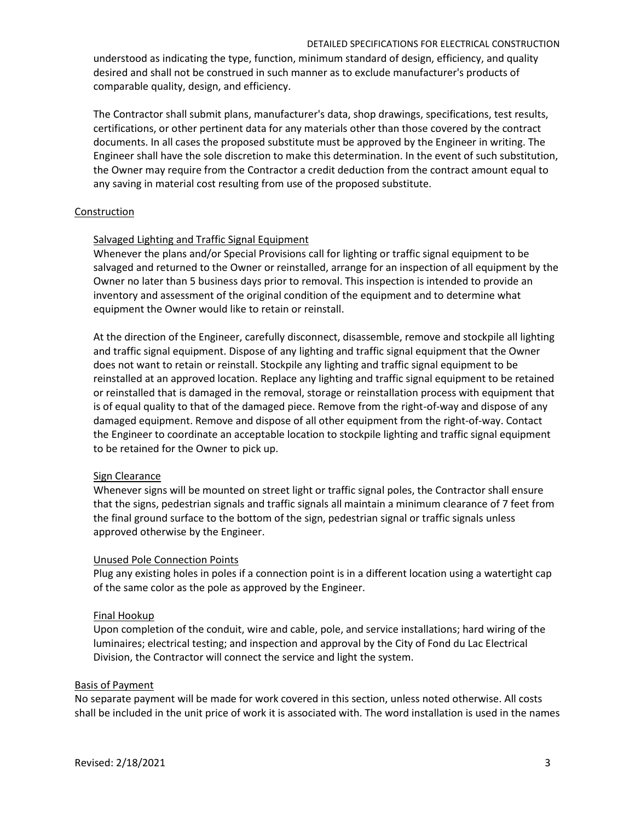understood as indicating the type, function, minimum standard of design, efficiency, and quality desired and shall not be construed in such manner as to exclude manufacturer's products of comparable quality, design, and efficiency.

The Contractor shall submit plans, manufacturer's data, shop drawings, specifications, test results, certifications, or other pertinent data for any materials other than those covered by the contract documents. In all cases the proposed substitute must be approved by the Engineer in writing. The Engineer shall have the sole discretion to make this determination. In the event of such substitution, the Owner may require from the Contractor a credit deduction from the contract amount equal to any saving in material cost resulting from use of the proposed substitute.

## **Construction**

## Salvaged Lighting and Traffic Signal Equipment

Whenever the plans and/or Special Provisions call for lighting or traffic signal equipment to be salvaged and returned to the Owner or reinstalled, arrange for an inspection of all equipment by the Owner no later than 5 business days prior to removal. This inspection is intended to provide an inventory and assessment of the original condition of the equipment and to determine what equipment the Owner would like to retain or reinstall.

At the direction of the Engineer, carefully disconnect, disassemble, remove and stockpile all lighting and traffic signal equipment. Dispose of any lighting and traffic signal equipment that the Owner does not want to retain or reinstall. Stockpile any lighting and traffic signal equipment to be reinstalled at an approved location. Replace any lighting and traffic signal equipment to be retained or reinstalled that is damaged in the removal, storage or reinstallation process with equipment that is of equal quality to that of the damaged piece. Remove from the right-of-way and dispose of any damaged equipment. Remove and dispose of all other equipment from the right-of-way. Contact the Engineer to coordinate an acceptable location to stockpile lighting and traffic signal equipment to be retained for the Owner to pick up.

## Sign Clearance

Whenever signs will be mounted on street light or traffic signal poles, the Contractor shall ensure that the signs, pedestrian signals and traffic signals all maintain a minimum clearance of 7 feet from the final ground surface to the bottom of the sign, pedestrian signal or traffic signals unless approved otherwise by the Engineer.

## Unused Pole Connection Points

Plug any existing holes in poles if a connection point is in a different location using a watertight cap of the same color as the pole as approved by the Engineer.

## Final Hookup

Upon completion of the conduit, wire and cable, pole, and service installations; hard wiring of the luminaires; electrical testing; and inspection and approval by the City of Fond du Lac Electrical Division, the Contractor will connect the service and light the system.

#### Basis of Payment

No separate payment will be made for work covered in this section, unless noted otherwise. All costs shall be included in the unit price of work it is associated with. The word installation is used in the names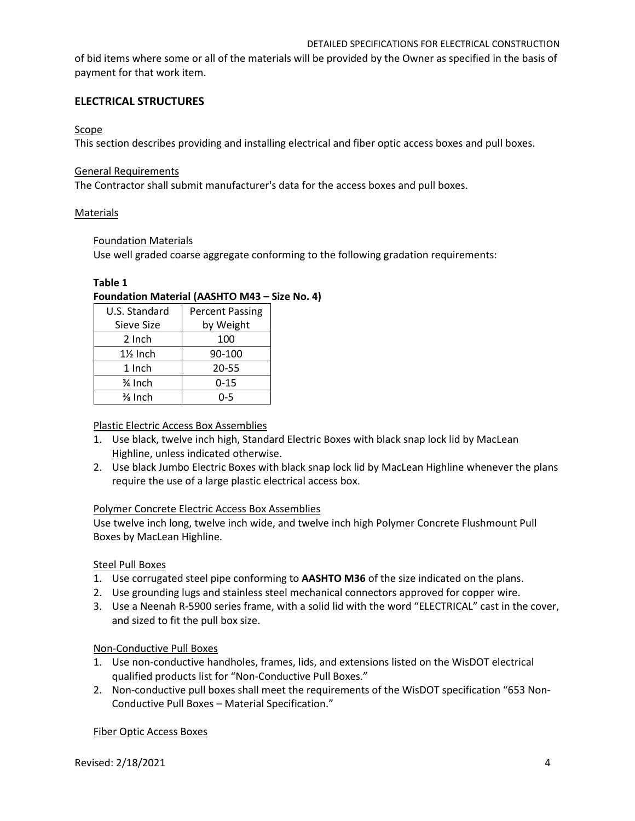of bid items where some or all of the materials will be provided by the Owner as specified in the basis of payment for that work item.

# **ELECTRICAL STRUCTURES**

## Scope

This section describes providing and installing electrical and fiber optic access boxes and pull boxes.

### General Requirements

The Contractor shall submit manufacturer's data for the access boxes and pull boxes.

## Materials

### Foundation Materials

Use well graded coarse aggregate conforming to the following gradation requirements:

### **Table 1**

# **Foundation Material (AASHTO M43 – Size No. 4)**

| U.S. Standard | <b>Percent Passing</b> |
|---------------|------------------------|
| Sieve Size    | by Weight              |
| 2 Inch        | 100                    |
| $1\%$ Inch    | 90-100                 |
| 1 Inch        | 20-55                  |
| 3⁄4 Inch      | $0 - 15$               |
| % Inch        | 0-5                    |

## Plastic Electric Access Box Assemblies

- 1. Use black, twelve inch high, Standard Electric Boxes with black snap lock lid by MacLean Highline, unless indicated otherwise.
- 2. Use black Jumbo Electric Boxes with black snap lock lid by MacLean Highline whenever the plans require the use of a large plastic electrical access box.

## Polymer Concrete Electric Access Box Assemblies

Use twelve inch long, twelve inch wide, and twelve inch high Polymer Concrete Flushmount Pull Boxes by MacLean Highline.

## Steel Pull Boxes

- 1. Use corrugated steel pipe conforming to **AASHTO M36** of the size indicated on the plans.
- 2. Use grounding lugs and stainless steel mechanical connectors approved for copper wire.
- 3. Use a Neenah R-5900 series frame, with a solid lid with the word "ELECTRICAL" cast in the cover, and sized to fit the pull box size.

## Non-Conductive Pull Boxes

- 1. Use non-conductive handholes, frames, lids, and extensions listed on the WisDOT electrical qualified products list for "Non-Conductive Pull Boxes."
- 2. Non-conductive pull boxes shall meet the requirements of the WisDOT specification "653 Non-Conductive Pull Boxes – Material Specification."

## Fiber Optic Access Boxes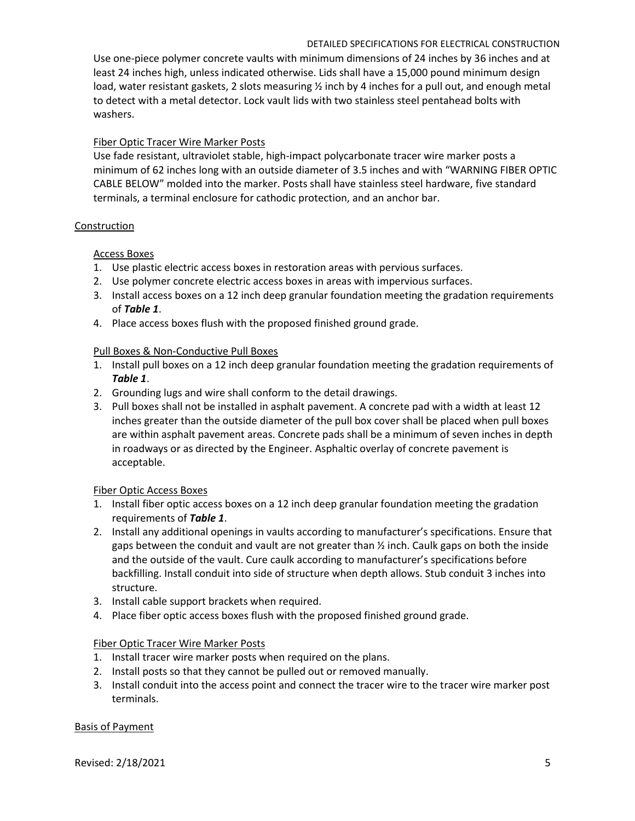Use one-piece polymer concrete vaults with minimum dimensions of 24 inches by 36 inches and at least 24 inches high, unless indicated otherwise. Lids shall have a 15,000 pound minimum design load, water resistant gaskets, 2 slots measuring ½ inch by 4 inches for a pull out, and enough metal to detect with a metal detector. Lock vault lids with two stainless steel pentahead bolts with washers.

# Fiber Optic Tracer Wire Marker Posts

Use fade resistant, ultraviolet stable, high-impact polycarbonate tracer wire marker posts a minimum of 62 inches long with an outside diameter of 3.5 inches and with "WARNING FIBER OPTIC CABLE BELOW" molded into the marker. Posts shall have stainless steel hardware, five standard terminals, a terminal enclosure for cathodic protection, and an anchor bar.

## **Construction**

# Access Boxes

- 1. Use plastic electric access boxes in restoration areas with pervious surfaces.
- 2. Use polymer concrete electric access boxes in areas with impervious surfaces.
- 3. Install access boxes on a 12 inch deep granular foundation meeting the gradation requirements of *Table 1*.
- 4. Place access boxes flush with the proposed finished ground grade.

# Pull Boxes & Non-Conductive Pull Boxes

- 1. Install pull boxes on a 12 inch deep granular foundation meeting the gradation requirements of *Table 1*.
- 2. Grounding lugs and wire shall conform to the detail drawings.
- 3. Pull boxes shall not be installed in asphalt pavement. A concrete pad with a width at least 12 inches greater than the outside diameter of the pull box cover shall be placed when pull boxes are within asphalt pavement areas. Concrete pads shall be a minimum of seven inches in depth in roadways or as directed by the Engineer. Asphaltic overlay of concrete pavement is acceptable.

## Fiber Optic Access Boxes

- 1. Install fiber optic access boxes on a 12 inch deep granular foundation meeting the gradation requirements of *Table 1*.
- 2. Install any additional openings in vaults according to manufacturer's specifications. Ensure that gaps between the conduit and vault are not greater than  $\frac{1}{2}$  inch. Caulk gaps on both the inside and the outside of the vault. Cure caulk according to manufacturer's specifications before backfilling. Install conduit into side of structure when depth allows. Stub conduit 3 inches into structure.
- 3. Install cable support brackets when required.
- 4. Place fiber optic access boxes flush with the proposed finished ground grade.

## Fiber Optic Tracer Wire Marker Posts

- 1. Install tracer wire marker posts when required on the plans.
- 2. Install posts so that they cannot be pulled out or removed manually.
- 3. Install conduit into the access point and connect the tracer wire to the tracer wire marker post terminals.

Basis of Payment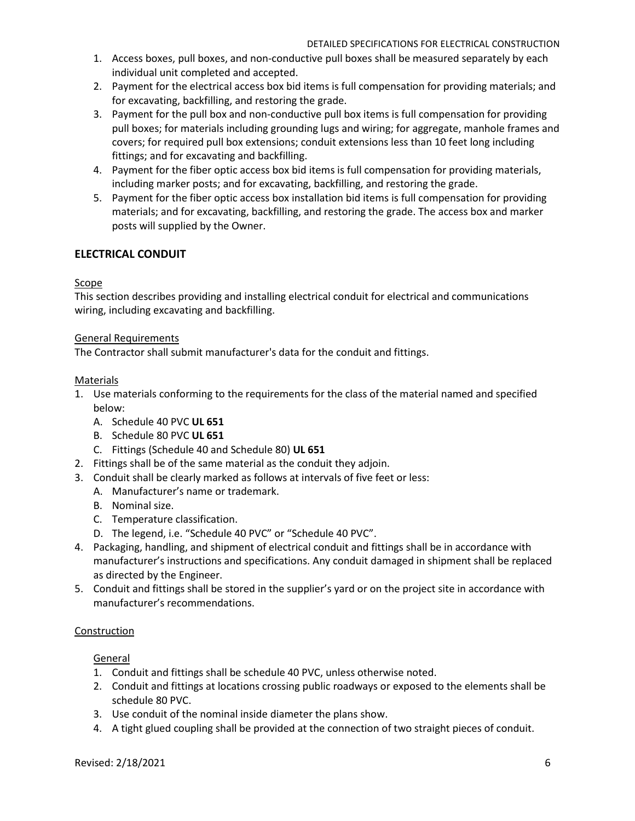- 1. Access boxes, pull boxes, and non-conductive pull boxes shall be measured separately by each individual unit completed and accepted.
- 2. Payment for the electrical access box bid items is full compensation for providing materials; and for excavating, backfilling, and restoring the grade.
- 3. Payment for the pull box and non-conductive pull box items is full compensation for providing pull boxes; for materials including grounding lugs and wiring; for aggregate, manhole frames and covers; for required pull box extensions; conduit extensions less than 10 feet long including fittings; and for excavating and backfilling.
- 4. Payment for the fiber optic access box bid items is full compensation for providing materials, including marker posts; and for excavating, backfilling, and restoring the grade.
- 5. Payment for the fiber optic access box installation bid items is full compensation for providing materials; and for excavating, backfilling, and restoring the grade. The access box and marker posts will supplied by the Owner.

# **ELECTRICAL CONDUIT**

# Scope

This section describes providing and installing electrical conduit for electrical and communications wiring, including excavating and backfilling.

## General Requirements

The Contractor shall submit manufacturer's data for the conduit and fittings.

## Materials

- 1. Use materials conforming to the requirements for the class of the material named and specified below:
	- A. Schedule 40 PVC **UL 651**
	- B. Schedule 80 PVC **UL 651**
	- C. Fittings (Schedule 40 and Schedule 80) **UL 651**
- 2. Fittings shall be of the same material as the conduit they adjoin.
- 3. Conduit shall be clearly marked as follows at intervals of five feet or less:
	- A. Manufacturer's name or trademark.
		- B. Nominal size.
		- C. Temperature classification.
		- D. The legend, i.e. "Schedule 40 PVC" or "Schedule 40 PVC".
- 4. Packaging, handling, and shipment of electrical conduit and fittings shall be in accordance with manufacturer's instructions and specifications. Any conduit damaged in shipment shall be replaced as directed by the Engineer.
- 5. Conduit and fittings shall be stored in the supplier's yard or on the project site in accordance with manufacturer's recommendations.

## **Construction**

## General

- 1. Conduit and fittings shall be schedule 40 PVC, unless otherwise noted.
- 2. Conduit and fittings at locations crossing public roadways or exposed to the elements shall be schedule 80 PVC.
- 3. Use conduit of the nominal inside diameter the plans show.
- 4. A tight glued coupling shall be provided at the connection of two straight pieces of conduit.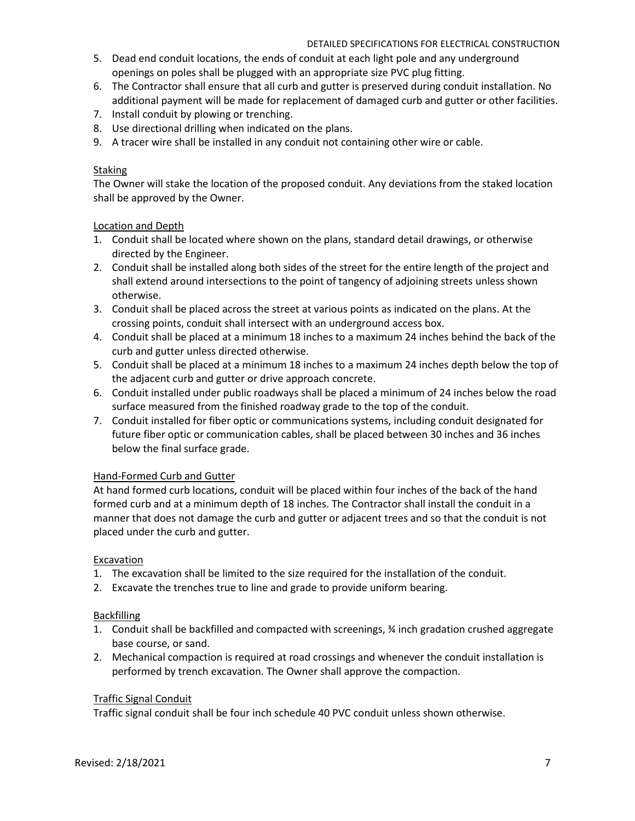- 5. Dead end conduit locations, the ends of conduit at each light pole and any underground openings on poles shall be plugged with an appropriate size PVC plug fitting.
- 6. The Contractor shall ensure that all curb and gutter is preserved during conduit installation. No additional payment will be made for replacement of damaged curb and gutter or other facilities.
- 7. Install conduit by plowing or trenching.
- 8. Use directional drilling when indicated on the plans.
- 9. A tracer wire shall be installed in any conduit not containing other wire or cable.

# **Staking**

The Owner will stake the location of the proposed conduit. Any deviations from the staked location shall be approved by the Owner.

# Location and Depth

- 1. Conduit shall be located where shown on the plans, standard detail drawings, or otherwise directed by the Engineer.
- 2. Conduit shall be installed along both sides of the street for the entire length of the project and shall extend around intersections to the point of tangency of adjoining streets unless shown otherwise.
- 3. Conduit shall be placed across the street at various points as indicated on the plans. At the crossing points, conduit shall intersect with an underground access box.
- 4. Conduit shall be placed at a minimum 18 inches to a maximum 24 inches behind the back of the curb and gutter unless directed otherwise.
- 5. Conduit shall be placed at a minimum 18 inches to a maximum 24 inches depth below the top of the adjacent curb and gutter or drive approach concrete.
- 6. Conduit installed under public roadways shall be placed a minimum of 24 inches below the road surface measured from the finished roadway grade to the top of the conduit.
- 7. Conduit installed for fiber optic or communications systems, including conduit designated for future fiber optic or communication cables, shall be placed between 30 inches and 36 inches below the final surface grade.

## Hand-Formed Curb and Gutter

At hand formed curb locations, conduit will be placed within four inches of the back of the hand formed curb and at a minimum depth of 18 inches. The Contractor shall install the conduit in a manner that does not damage the curb and gutter or adjacent trees and so that the conduit is not placed under the curb and gutter.

## Excavation

- 1. The excavation shall be limited to the size required for the installation of the conduit.
- 2. Excavate the trenches true to line and grade to provide uniform bearing.

# Backfilling

- 1. Conduit shall be backfilled and compacted with screenings, ¾ inch gradation crushed aggregate base course, or sand.
- 2. Mechanical compaction is required at road crossings and whenever the conduit installation is performed by trench excavation. The Owner shall approve the compaction.

# Traffic Signal Conduit

Traffic signal conduit shall be four inch schedule 40 PVC conduit unless shown otherwise.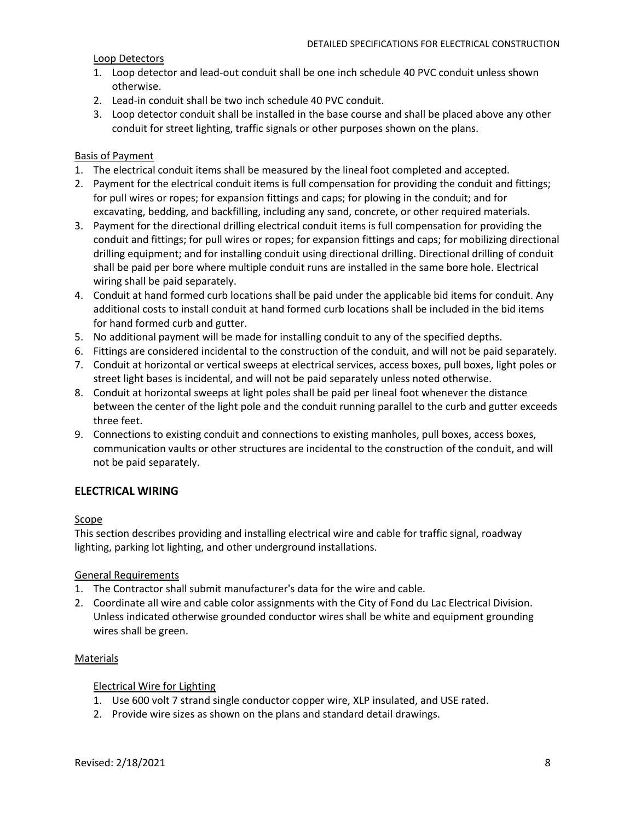## Loop Detectors

- 1. Loop detector and lead-out conduit shall be one inch schedule 40 PVC conduit unless shown otherwise.
- 2. Lead-in conduit shall be two inch schedule 40 PVC conduit.
- 3. Loop detector conduit shall be installed in the base course and shall be placed above any other conduit for street lighting, traffic signals or other purposes shown on the plans.

## Basis of Payment

- 1. The electrical conduit items shall be measured by the lineal foot completed and accepted.
- 2. Payment for the electrical conduit items is full compensation for providing the conduit and fittings; for pull wires or ropes; for expansion fittings and caps; for plowing in the conduit; and for excavating, bedding, and backfilling, including any sand, concrete, or other required materials.
- 3. Payment for the directional drilling electrical conduit items is full compensation for providing the conduit and fittings; for pull wires or ropes; for expansion fittings and caps; for mobilizing directional drilling equipment; and for installing conduit using directional drilling. Directional drilling of conduit shall be paid per bore where multiple conduit runs are installed in the same bore hole. Electrical wiring shall be paid separately.
- 4. Conduit at hand formed curb locations shall be paid under the applicable bid items for conduit. Any additional costs to install conduit at hand formed curb locations shall be included in the bid items for hand formed curb and gutter.
- 5. No additional payment will be made for installing conduit to any of the specified depths.
- 6. Fittings are considered incidental to the construction of the conduit, and will not be paid separately.
- 7. Conduit at horizontal or vertical sweeps at electrical services, access boxes, pull boxes, light poles or street light bases is incidental, and will not be paid separately unless noted otherwise.
- 8. Conduit at horizontal sweeps at light poles shall be paid per lineal foot whenever the distance between the center of the light pole and the conduit running parallel to the curb and gutter exceeds three feet.
- 9. Connections to existing conduit and connections to existing manholes, pull boxes, access boxes, communication vaults or other structures are incidental to the construction of the conduit, and will not be paid separately.

## **ELECTRICAL WIRING**

#### Scope

This section describes providing and installing electrical wire and cable for traffic signal, roadway lighting, parking lot lighting, and other underground installations.

#### General Requirements

- 1. The Contractor shall submit manufacturer's data for the wire and cable.
- 2. Coordinate all wire and cable color assignments with the City of Fond du Lac Electrical Division. Unless indicated otherwise grounded conductor wires shall be white and equipment grounding wires shall be green.

#### Materials

Electrical Wire for Lighting

- 1. Use 600 volt 7 strand single conductor copper wire, XLP insulated, and USE rated.
- 2. Provide wire sizes as shown on the plans and standard detail drawings.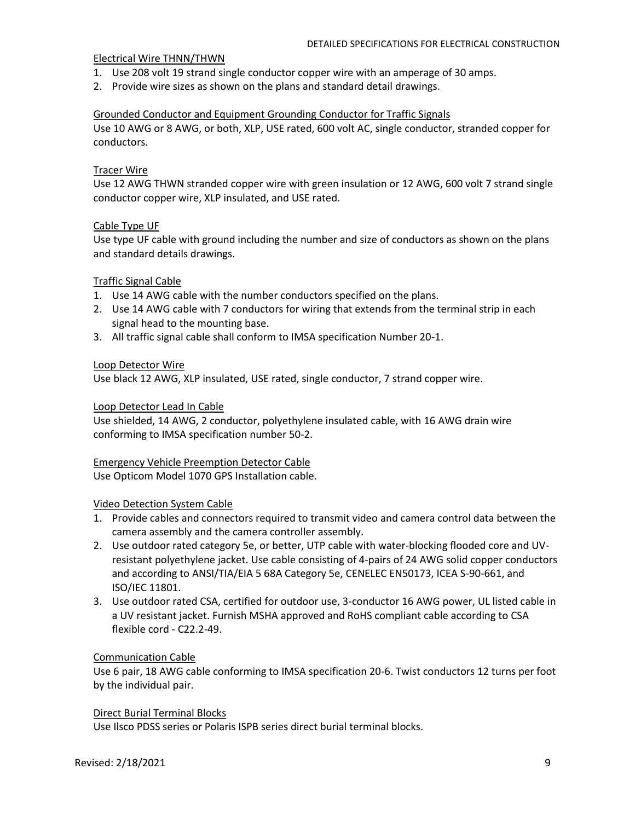#### Electrical Wire THNN/THWN

- 1. Use 208 volt 19 strand single conductor copper wire with an amperage of 30 amps.
- 2. Provide wire sizes as shown on the plans and standard detail drawings.

### Grounded Conductor and Equipment Grounding Conductor for Traffic Signals

Use 10 AWG or 8 AWG, or both, XLP, USE rated, 600 volt AC, single conductor, stranded copper for conductors.

### Tracer Wire

Use 12 AWG THWN stranded copper wire with green insulation or 12 AWG, 600 volt 7 strand single conductor copper wire, XLP insulated, and USE rated.

### Cable Type UF

Use type UF cable with ground including the number and size of conductors as shown on the plans and standard details drawings.

### Traffic Signal Cable

- 1. Use 14 AWG cable with the number conductors specified on the plans.
- 2. Use 14 AWG cable with 7 conductors for wiring that extends from the terminal strip in each signal head to the mounting base.
- 3. All traffic signal cable shall conform to IMSA specification Number 20-1.

#### Loop Detector Wire

Use black 12 AWG, XLP insulated, USE rated, single conductor, 7 strand copper wire.

### Loop Detector Lead In Cable

Use shielded, 14 AWG, 2 conductor, polyethylene insulated cable, with 16 AWG drain wire conforming to IMSA specification number 50-2.

## Emergency Vehicle Preemption Detector Cable

Use Opticom Model 1070 GPS Installation cable.

#### Video Detection System Cable

- 1. Provide cables and connectors required to transmit video and camera control data between the camera assembly and the camera controller assembly.
- 2. Use outdoor rated category 5e, or better, UTP cable with water-blocking flooded core and UVresistant polyethylene jacket. Use cable consisting of 4-pairs of 24 AWG solid copper conductors and according to ANSI/TIA/EIA 5 68A Category 5e, CENELEC EN50173, ICEA S-90-661, and ISO/IEC 11801.
- 3. Use outdoor rated CSA, certified for outdoor use, 3-conductor 16 AWG power, UL listed cable in a UV resistant jacket. Furnish MSHA approved and RoHS compliant cable according to CSA flexible cord - C22.2-49.

#### Communication Cable

Use 6 pair, 18 AWG cable conforming to IMSA specification 20-6. Twist conductors 12 turns per foot by the individual pair.

#### Direct Burial Terminal Blocks

Use Ilsco PDSS series or Polaris ISPB series direct burial terminal blocks.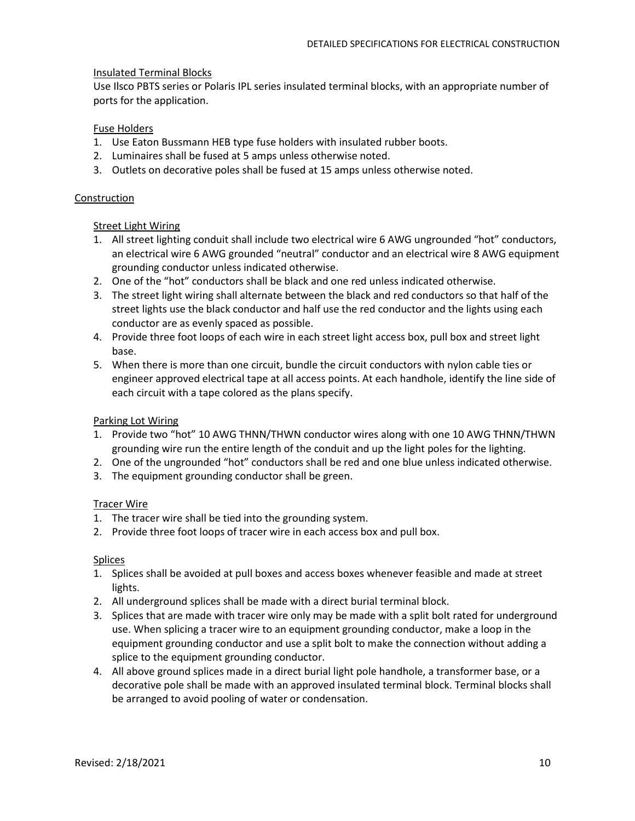## Insulated Terminal Blocks

Use Ilsco PBTS series or Polaris IPL series insulated terminal blocks, with an appropriate number of ports for the application.

# Fuse Holders

- 1. Use Eaton Bussmann HEB type fuse holders with insulated rubber boots.
- 2. Luminaires shall be fused at 5 amps unless otherwise noted.
- 3. Outlets on decorative poles shall be fused at 15 amps unless otherwise noted.

## Construction

# **Street Light Wiring**

- 1. All street lighting conduit shall include two electrical wire 6 AWG ungrounded "hot" conductors, an electrical wire 6 AWG grounded "neutral" conductor and an electrical wire 8 AWG equipment grounding conductor unless indicated otherwise.
- 2. One of the "hot" conductors shall be black and one red unless indicated otherwise.
- 3. The street light wiring shall alternate between the black and red conductors so that half of the street lights use the black conductor and half use the red conductor and the lights using each conductor are as evenly spaced as possible.
- 4. Provide three foot loops of each wire in each street light access box, pull box and street light base.
- 5. When there is more than one circuit, bundle the circuit conductors with nylon cable ties or engineer approved electrical tape at all access points. At each handhole, identify the line side of each circuit with a tape colored as the plans specify.

## Parking Lot Wiring

- 1. Provide two "hot" 10 AWG THNN/THWN conductor wires along with one 10 AWG THNN/THWN grounding wire run the entire length of the conduit and up the light poles for the lighting.
- 2. One of the ungrounded "hot" conductors shall be red and one blue unless indicated otherwise.
- 3. The equipment grounding conductor shall be green.

## Tracer Wire

- 1. The tracer wire shall be tied into the grounding system.
- 2. Provide three foot loops of tracer wire in each access box and pull box.

## Splices

- 1. Splices shall be avoided at pull boxes and access boxes whenever feasible and made at street lights.
- 2. All underground splices shall be made with a direct burial terminal block.
- 3. Splices that are made with tracer wire only may be made with a split bolt rated for underground use. When splicing a tracer wire to an equipment grounding conductor, make a loop in the equipment grounding conductor and use a split bolt to make the connection without adding a splice to the equipment grounding conductor.
- 4. All above ground splices made in a direct burial light pole handhole, a transformer base, or a decorative pole shall be made with an approved insulated terminal block. Terminal blocks shall be arranged to avoid pooling of water or condensation.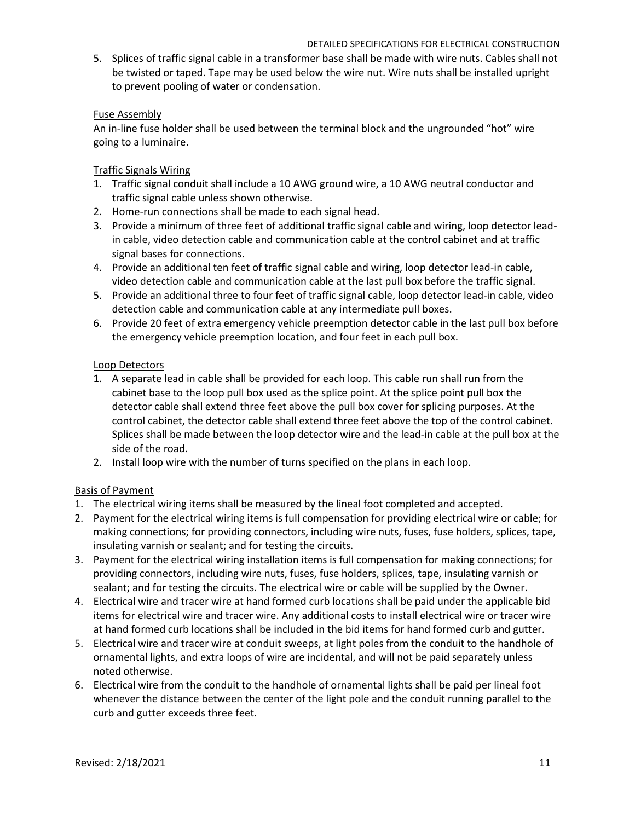5. Splices of traffic signal cable in a transformer base shall be made with wire nuts. Cables shall not be twisted or taped. Tape may be used below the wire nut. Wire nuts shall be installed upright to prevent pooling of water or condensation.

## Fuse Assembly

An in-line fuse holder shall be used between the terminal block and the ungrounded "hot" wire going to a luminaire.

# Traffic Signals Wiring

- 1. Traffic signal conduit shall include a 10 AWG ground wire, a 10 AWG neutral conductor and traffic signal cable unless shown otherwise.
- 2. Home-run connections shall be made to each signal head.
- 3. Provide a minimum of three feet of additional traffic signal cable and wiring, loop detector leadin cable, video detection cable and communication cable at the control cabinet and at traffic signal bases for connections.
- 4. Provide an additional ten feet of traffic signal cable and wiring, loop detector lead-in cable, video detection cable and communication cable at the last pull box before the traffic signal.
- 5. Provide an additional three to four feet of traffic signal cable, loop detector lead-in cable, video detection cable and communication cable at any intermediate pull boxes.
- 6. Provide 20 feet of extra emergency vehicle preemption detector cable in the last pull box before the emergency vehicle preemption location, and four feet in each pull box.

# Loop Detectors

- 1. A separate lead in cable shall be provided for each loop. This cable run shall run from the cabinet base to the loop pull box used as the splice point. At the splice point pull box the detector cable shall extend three feet above the pull box cover for splicing purposes. At the control cabinet, the detector cable shall extend three feet above the top of the control cabinet. Splices shall be made between the loop detector wire and the lead-in cable at the pull box at the side of the road.
- 2. Install loop wire with the number of turns specified on the plans in each loop.

# Basis of Payment

- 1. The electrical wiring items shall be measured by the lineal foot completed and accepted.
- 2. Payment for the electrical wiring items is full compensation for providing electrical wire or cable; for making connections; for providing connectors, including wire nuts, fuses, fuse holders, splices, tape, insulating varnish or sealant; and for testing the circuits.
- 3. Payment for the electrical wiring installation items is full compensation for making connections; for providing connectors, including wire nuts, fuses, fuse holders, splices, tape, insulating varnish or sealant; and for testing the circuits. The electrical wire or cable will be supplied by the Owner.
- 4. Electrical wire and tracer wire at hand formed curb locations shall be paid under the applicable bid items for electrical wire and tracer wire. Any additional costs to install electrical wire or tracer wire at hand formed curb locations shall be included in the bid items for hand formed curb and gutter.
- 5. Electrical wire and tracer wire at conduit sweeps, at light poles from the conduit to the handhole of ornamental lights, and extra loops of wire are incidental, and will not be paid separately unless noted otherwise.
- 6. Electrical wire from the conduit to the handhole of ornamental lights shall be paid per lineal foot whenever the distance between the center of the light pole and the conduit running parallel to the curb and gutter exceeds three feet.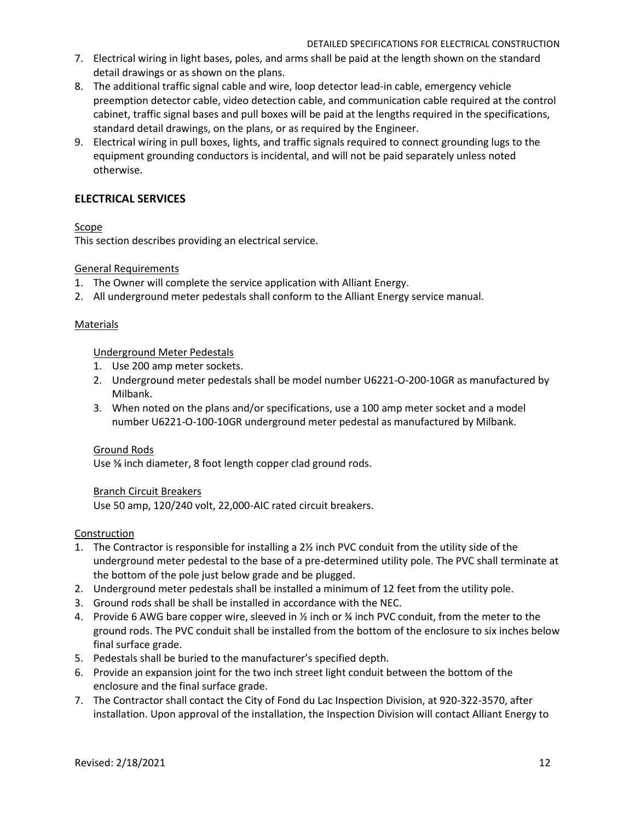- 7. Electrical wiring in light bases, poles, and arms shall be paid at the length shown on the standard detail drawings or as shown on the plans.
- 8. The additional traffic signal cable and wire, loop detector lead-in cable, emergency vehicle preemption detector cable, video detection cable, and communication cable required at the control cabinet, traffic signal bases and pull boxes will be paid at the lengths required in the specifications, standard detail drawings, on the plans, or as required by the Engineer.
- 9. Electrical wiring in pull boxes, lights, and traffic signals required to connect grounding lugs to the equipment grounding conductors is incidental, and will not be paid separately unless noted otherwise.

# **ELECTRICAL SERVICES**

# **Scope**

This section describes providing an electrical service.

## General Requirements

- 1. The Owner will complete the service application with Alliant Energy.
- 2. All underground meter pedestals shall conform to the Alliant Energy service manual.

## **Materials**

## Underground Meter Pedestals

- 1. Use 200 amp meter sockets.
- 2. Underground meter pedestals shall be model number U6221-O-200-10GR as manufactured by Milbank.
- 3. When noted on the plans and/or specifications, use a 100 amp meter socket and a model number U6221-O-100-10GR underground meter pedestal as manufactured by Milbank.

## Ground Rods

Use ⅝ inch diameter, 8 foot length copper clad ground rods.

## Branch Circuit Breakers

Use 50 amp, 120/240 volt, 22,000-AIC rated circuit breakers.

## Construction

- 1. The Contractor is responsible for installing a 2½ inch PVC conduit from the utility side of the underground meter pedestal to the base of a pre-determined utility pole. The PVC shall terminate at the bottom of the pole just below grade and be plugged.
- 2. Underground meter pedestals shall be installed a minimum of 12 feet from the utility pole.
- 3. Ground rods shall be shall be installed in accordance with the NEC.
- 4. Provide 6 AWG bare copper wire, sleeved in ½ inch or ¾ inch PVC conduit, from the meter to the ground rods. The PVC conduit shall be installed from the bottom of the enclosure to six inches below final surface grade.
- 5. Pedestals shall be buried to the manufacturer's specified depth.
- 6. Provide an expansion joint for the two inch street light conduit between the bottom of the enclosure and the final surface grade.
- 7. The Contractor shall contact the City of Fond du Lac Inspection Division, at 920-322-3570, after installation. Upon approval of the installation, the Inspection Division will contact Alliant Energy to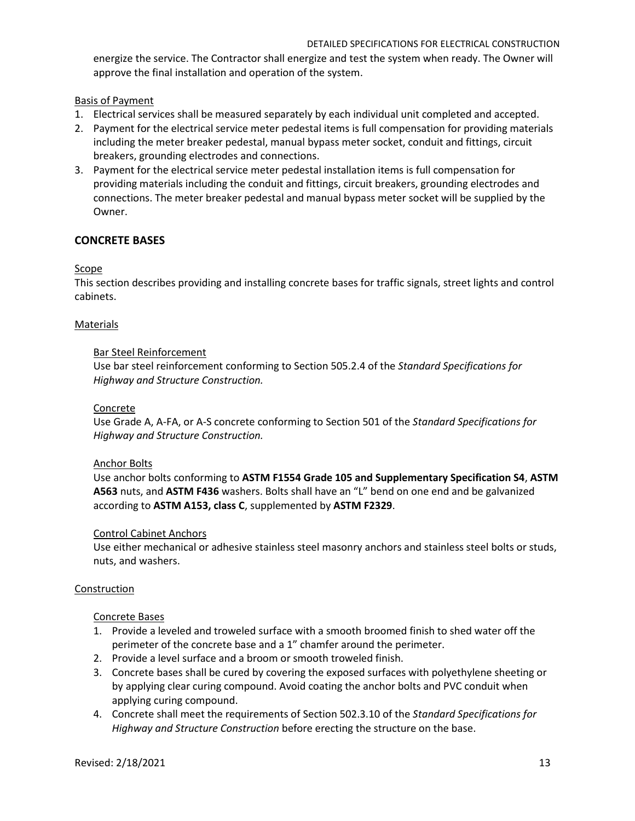energize the service. The Contractor shall energize and test the system when ready. The Owner will approve the final installation and operation of the system.

Basis of Payment

- 1. Electrical services shall be measured separately by each individual unit completed and accepted.
- 2. Payment for the electrical service meter pedestal items is full compensation for providing materials including the meter breaker pedestal, manual bypass meter socket, conduit and fittings, circuit breakers, grounding electrodes and connections.
- 3. Payment for the electrical service meter pedestal installation items is full compensation for providing materials including the conduit and fittings, circuit breakers, grounding electrodes and connections. The meter breaker pedestal and manual bypass meter socket will be supplied by the Owner.

# **CONCRETE BASES**

## Scope

This section describes providing and installing concrete bases for traffic signals, street lights and control cabinets.

### **Materials**

### Bar Steel Reinforcement

Use bar steel reinforcement conforming to Section 505.2.4 of the *Standard Specifications for Highway and Structure Construction.*

### Concrete

Use Grade A, A-FA, or A-S concrete conforming to Section 501 of the *Standard Specifications for Highway and Structure Construction.*

## Anchor Bolts

Use anchor bolts conforming to **ASTM F1554 Grade 105 and Supplementary Specification S4**, **ASTM A563** nuts, and **ASTM F436** washers. Bolts shall have an "L" bend on one end and be galvanized according to **ASTM A153, class C**, supplemented by **ASTM F2329**.

#### Control Cabinet Anchors

Use either mechanical or adhesive stainless steel masonry anchors and stainless steel bolts or studs, nuts, and washers.

#### Construction

## Concrete Bases

- 1. Provide a leveled and troweled surface with a smooth broomed finish to shed water off the perimeter of the concrete base and a 1" chamfer around the perimeter.
- 2. Provide a level surface and a broom or smooth troweled finish.
- 3. Concrete bases shall be cured by covering the exposed surfaces with polyethylene sheeting or by applying clear curing compound. Avoid coating the anchor bolts and PVC conduit when applying curing compound.
- 4. Concrete shall meet the requirements of Section 502.3.10 of the *Standard Specifications for Highway and Structure Construction* before erecting the structure on the base.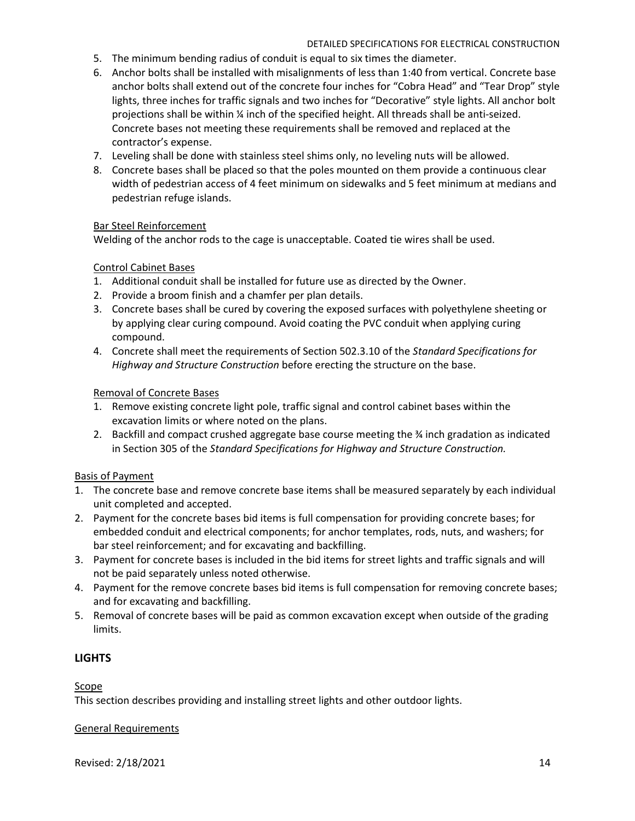- 5. The minimum bending radius of conduit is equal to six times the diameter.
- 6. Anchor bolts shall be installed with misalignments of less than 1:40 from vertical. Concrete base anchor bolts shall extend out of the concrete four inches for "Cobra Head" and "Tear Drop" style lights, three inches for traffic signals and two inches for "Decorative" style lights. All anchor bolt projections shall be within ¼ inch of the specified height. All threads shall be anti-seized. Concrete bases not meeting these requirements shall be removed and replaced at the contractor's expense.
- 7. Leveling shall be done with stainless steel shims only, no leveling nuts will be allowed.
- 8. Concrete bases shall be placed so that the poles mounted on them provide a continuous clear width of pedestrian access of 4 feet minimum on sidewalks and 5 feet minimum at medians and pedestrian refuge islands.

# Bar Steel Reinforcement

Welding of the anchor rods to the cage is unacceptable. Coated tie wires shall be used.

# Control Cabinet Bases

- 1. Additional conduit shall be installed for future use as directed by the Owner.
- 2. Provide a broom finish and a chamfer per plan details.
- 3. Concrete bases shall be cured by covering the exposed surfaces with polyethylene sheeting or by applying clear curing compound. Avoid coating the PVC conduit when applying curing compound.
- 4. Concrete shall meet the requirements of Section 502.3.10 of the *Standard Specifications for Highway and Structure Construction* before erecting the structure on the base.

# Removal of Concrete Bases

- 1. Remove existing concrete light pole, traffic signal and control cabinet bases within the excavation limits or where noted on the plans.
- 2. Backfill and compact crushed aggregate base course meeting the ¾ inch gradation as indicated in Section 305 of the *Standard Specifications for Highway and Structure Construction.*

## Basis of Payment

- 1. The concrete base and remove concrete base items shall be measured separately by each individual unit completed and accepted.
- 2. Payment for the concrete bases bid items is full compensation for providing concrete bases; for embedded conduit and electrical components; for anchor templates, rods, nuts, and washers; for bar steel reinforcement; and for excavating and backfilling.
- 3. Payment for concrete bases is included in the bid items for street lights and traffic signals and will not be paid separately unless noted otherwise.
- 4. Payment for the remove concrete bases bid items is full compensation for removing concrete bases; and for excavating and backfilling.
- 5. Removal of concrete bases will be paid as common excavation except when outside of the grading limits.

# **LIGHTS**

## Scope

This section describes providing and installing street lights and other outdoor lights.

#### General Requirements

Revised: 2/18/2021 14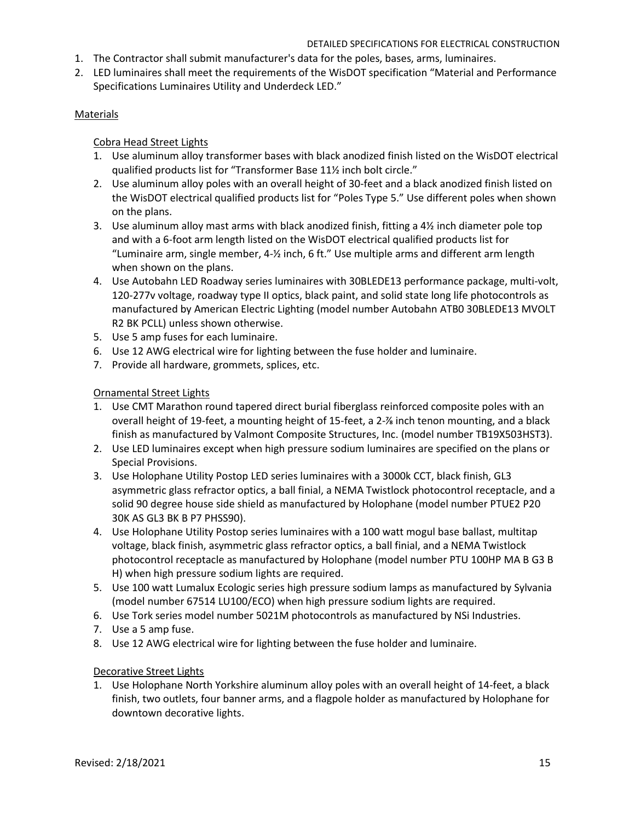- 1. The Contractor shall submit manufacturer's data for the poles, bases, arms, luminaires.
- 2. LED luminaires shall meet the requirements of the WisDOT specification "Material and Performance Specifications Luminaires Utility and Underdeck LED."

### Materials

### Cobra Head Street Lights

- 1. Use aluminum alloy transformer bases with black anodized finish listed on the WisDOT electrical qualified products list for "Transformer Base 11½ inch bolt circle."
- 2. Use aluminum alloy poles with an overall height of 30-feet and a black anodized finish listed on the WisDOT electrical qualified products list for "Poles Type 5." Use different poles when shown on the plans.
- 3. Use aluminum alloy mast arms with black anodized finish, fitting a  $4\frac{1}{2}$  inch diameter pole top and with a 6-foot arm length listed on the WisDOT electrical qualified products list for "Luminaire arm, single member, 4-½ inch, 6 ft." Use multiple arms and different arm length when shown on the plans.
- 4. Use Autobahn LED Roadway series luminaires with 30BLEDE13 performance package, multi-volt, 120-277v voltage, roadway type II optics, black paint, and solid state long life photocontrols as manufactured by American Electric Lighting (model number Autobahn ATB0 30BLEDE13 MVOLT R2 BK PCLL) unless shown otherwise.
- 5. Use 5 amp fuses for each luminaire.
- 6. Use 12 AWG electrical wire for lighting between the fuse holder and luminaire.
- 7. Provide all hardware, grommets, splices, etc.

### Ornamental Street Lights

- 1. Use CMT Marathon round tapered direct burial fiberglass reinforced composite poles with an overall height of 19-feet, a mounting height of 15-feet, a 2-⅞ inch tenon mounting, and a black finish as manufactured by Valmont Composite Structures, Inc. (model number TB19X503HST3).
- 2. Use LED luminaires except when high pressure sodium luminaires are specified on the plans or Special Provisions.
- 3. Use Holophane Utility Postop LED series luminaires with a 3000k CCT, black finish, GL3 asymmetric glass refractor optics, a ball finial, a NEMA Twistlock photocontrol receptacle, and a solid 90 degree house side shield as manufactured by Holophane (model number PTUE2 P20 30K AS GL3 BK B P7 PHSS90).
- 4. Use Holophane Utility Postop series luminaires with a 100 watt mogul base ballast, multitap voltage, black finish, asymmetric glass refractor optics, a ball finial, and a NEMA Twistlock photocontrol receptacle as manufactured by Holophane (model number PTU 100HP MA B G3 B H) when high pressure sodium lights are required.
- 5. Use 100 watt Lumalux Ecologic series high pressure sodium lamps as manufactured by Sylvania (model number 67514 LU100/ECO) when high pressure sodium lights are required.
- 6. Use Tork series model number 5021M photocontrols as manufactured by NSi Industries.
- 7. Use a 5 amp fuse.
- 8. Use 12 AWG electrical wire for lighting between the fuse holder and luminaire.

#### Decorative Street Lights

1. Use Holophane North Yorkshire aluminum alloy poles with an overall height of 14-feet, a black finish, two outlets, four banner arms, and a flagpole holder as manufactured by Holophane for downtown decorative lights.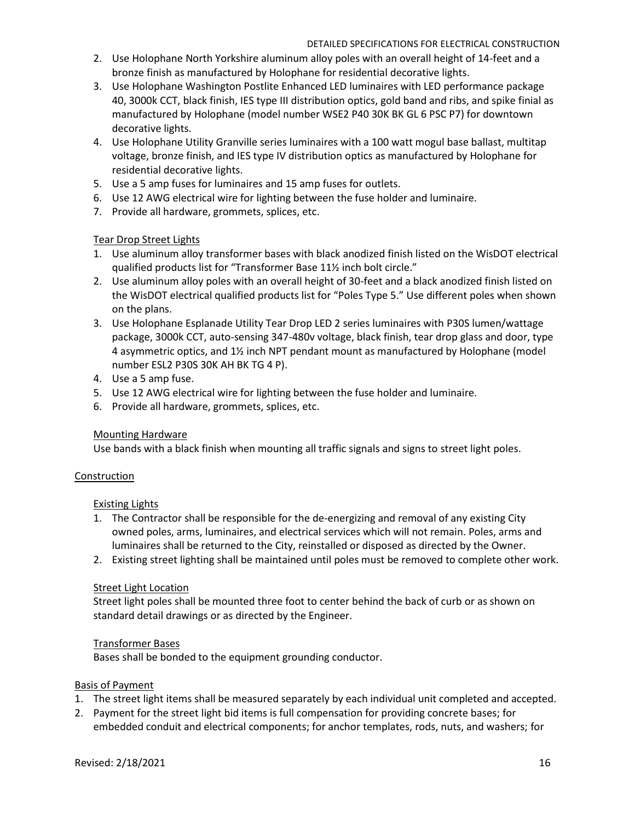- 2. Use Holophane North Yorkshire aluminum alloy poles with an overall height of 14-feet and a bronze finish as manufactured by Holophane for residential decorative lights.
- 3. Use Holophane Washington Postlite Enhanced LED luminaires with LED performance package 40, 3000k CCT, black finish, IES type III distribution optics, gold band and ribs, and spike finial as manufactured by Holophane (model number WSE2 P40 30K BK GL 6 PSC P7) for downtown decorative lights.
- 4. Use Holophane Utility Granville series luminaires with a 100 watt mogul base ballast, multitap voltage, bronze finish, and IES type IV distribution optics as manufactured by Holophane for residential decorative lights.
- 5. Use a 5 amp fuses for luminaires and 15 amp fuses for outlets.
- 6. Use 12 AWG electrical wire for lighting between the fuse holder and luminaire.
- 7. Provide all hardware, grommets, splices, etc.

# Tear Drop Street Lights

- 1. Use aluminum alloy transformer bases with black anodized finish listed on the WisDOT electrical qualified products list for "Transformer Base 11½ inch bolt circle."
- 2. Use aluminum alloy poles with an overall height of 30-feet and a black anodized finish listed on the WisDOT electrical qualified products list for "Poles Type 5." Use different poles when shown on the plans.
- 3. Use Holophane Esplanade Utility Tear Drop LED 2 series luminaires with P30S lumen/wattage package, 3000k CCT, auto-sensing 347-480v voltage, black finish, tear drop glass and door, type 4 asymmetric optics, and 1½ inch NPT pendant mount as manufactured by Holophane (model number ESL2 P30S 30K AH BK TG 4 P).
- 4. Use a 5 amp fuse.
- 5. Use 12 AWG electrical wire for lighting between the fuse holder and luminaire.
- 6. Provide all hardware, grommets, splices, etc.

## Mounting Hardware

Use bands with a black finish when mounting all traffic signals and signs to street light poles.

## Construction

## Existing Lights

- 1. The Contractor shall be responsible for the de-energizing and removal of any existing City owned poles, arms, luminaires, and electrical services which will not remain. Poles, arms and luminaires shall be returned to the City, reinstalled or disposed as directed by the Owner.
- 2. Existing street lighting shall be maintained until poles must be removed to complete other work.

## Street Light Location

Street light poles shall be mounted three foot to center behind the back of curb or as shown on standard detail drawings or as directed by the Engineer.

## Transformer Bases

Bases shall be bonded to the equipment grounding conductor.

## Basis of Payment

- 1. The street light items shall be measured separately by each individual unit completed and accepted.
- 2. Payment for the street light bid items is full compensation for providing concrete bases; for embedded conduit and electrical components; for anchor templates, rods, nuts, and washers; for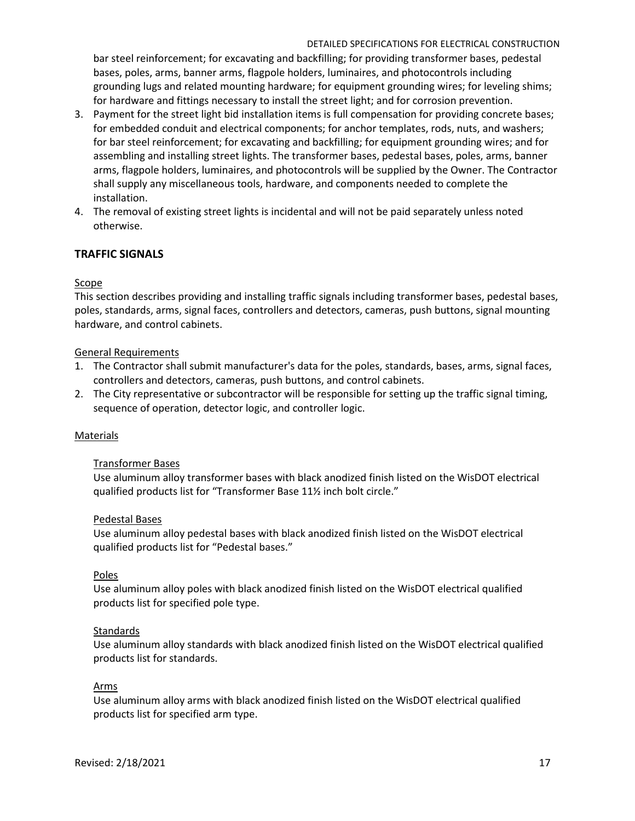bar steel reinforcement; for excavating and backfilling; for providing transformer bases, pedestal bases, poles, arms, banner arms, flagpole holders, luminaires, and photocontrols including grounding lugs and related mounting hardware; for equipment grounding wires; for leveling shims; for hardware and fittings necessary to install the street light; and for corrosion prevention.

- 3. Payment for the street light bid installation items is full compensation for providing concrete bases; for embedded conduit and electrical components; for anchor templates, rods, nuts, and washers; for bar steel reinforcement; for excavating and backfilling; for equipment grounding wires; and for assembling and installing street lights. The transformer bases, pedestal bases, poles, arms, banner arms, flagpole holders, luminaires, and photocontrols will be supplied by the Owner. The Contractor shall supply any miscellaneous tools, hardware, and components needed to complete the installation.
- 4. The removal of existing street lights is incidental and will not be paid separately unless noted otherwise.

# **TRAFFIC SIGNALS**

### Scope

This section describes providing and installing traffic signals including transformer bases, pedestal bases, poles, standards, arms, signal faces, controllers and detectors, cameras, push buttons, signal mounting hardware, and control cabinets.

#### General Requirements

- 1. The Contractor shall submit manufacturer's data for the poles, standards, bases, arms, signal faces, controllers and detectors, cameras, push buttons, and control cabinets.
- 2. The City representative or subcontractor will be responsible for setting up the traffic signal timing, sequence of operation, detector logic, and controller logic.

#### Materials

#### Transformer Bases

Use aluminum alloy transformer bases with black anodized finish listed on the WisDOT electrical qualified products list for "Transformer Base 11½ inch bolt circle."

#### Pedestal Bases

Use aluminum alloy pedestal bases with black anodized finish listed on the WisDOT electrical qualified products list for "Pedestal bases."

#### Poles

Use aluminum alloy poles with black anodized finish listed on the WisDOT electrical qualified products list for specified pole type.

#### **Standards**

Use aluminum alloy standards with black anodized finish listed on the WisDOT electrical qualified products list for standards.

#### Arms

Use aluminum alloy arms with black anodized finish listed on the WisDOT electrical qualified products list for specified arm type.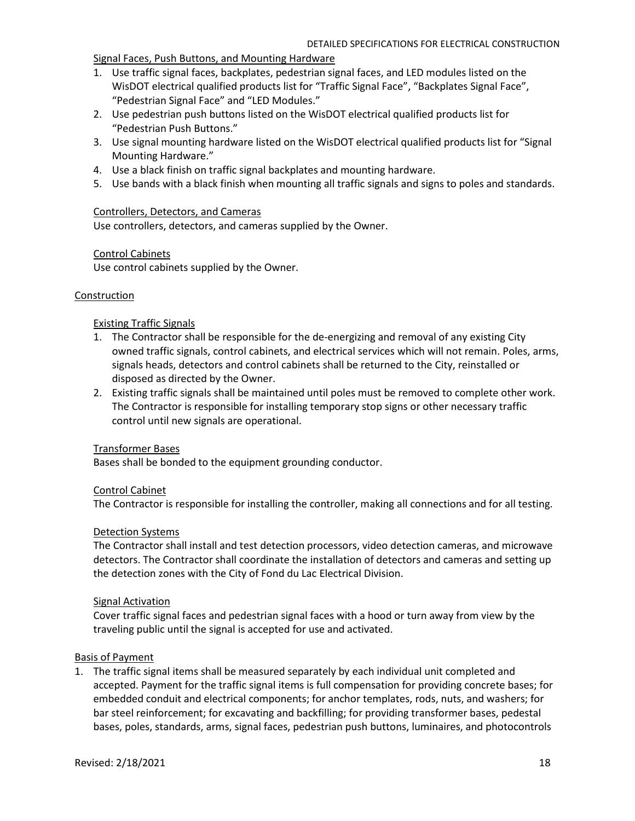Signal Faces, Push Buttons, and Mounting Hardware

- 1. Use traffic signal faces, backplates, pedestrian signal faces, and LED modules listed on the WisDOT electrical qualified products list for "Traffic Signal Face", "Backplates Signal Face", "Pedestrian Signal Face" and "LED Modules."
- 2. Use pedestrian push buttons listed on the WisDOT electrical qualified products list for "Pedestrian Push Buttons."
- 3. Use signal mounting hardware listed on the WisDOT electrical qualified products list for "Signal Mounting Hardware."
- 4. Use a black finish on traffic signal backplates and mounting hardware.
- 5. Use bands with a black finish when mounting all traffic signals and signs to poles and standards.

### Controllers, Detectors, and Cameras

Use controllers, detectors, and cameras supplied by the Owner.

## Control Cabinets

Use control cabinets supplied by the Owner.

#### **Construction**

### Existing Traffic Signals

- 1. The Contractor shall be responsible for the de-energizing and removal of any existing City owned traffic signals, control cabinets, and electrical services which will not remain. Poles, arms, signals heads, detectors and control cabinets shall be returned to the City, reinstalled or disposed as directed by the Owner.
- 2. Existing traffic signals shall be maintained until poles must be removed to complete other work. The Contractor is responsible for installing temporary stop signs or other necessary traffic control until new signals are operational.

#### Transformer Bases

Bases shall be bonded to the equipment grounding conductor.

### Control Cabinet

The Contractor is responsible for installing the controller, making all connections and for all testing.

#### Detection Systems

The Contractor shall install and test detection processors, video detection cameras, and microwave detectors. The Contractor shall coordinate the installation of detectors and cameras and setting up the detection zones with the City of Fond du Lac Electrical Division.

#### Signal Activation

Cover traffic signal faces and pedestrian signal faces with a hood or turn away from view by the traveling public until the signal is accepted for use and activated.

#### Basis of Payment

1. The traffic signal items shall be measured separately by each individual unit completed and accepted. Payment for the traffic signal items is full compensation for providing concrete bases; for embedded conduit and electrical components; for anchor templates, rods, nuts, and washers; for bar steel reinforcement; for excavating and backfilling; for providing transformer bases, pedestal bases, poles, standards, arms, signal faces, pedestrian push buttons, luminaires, and photocontrols